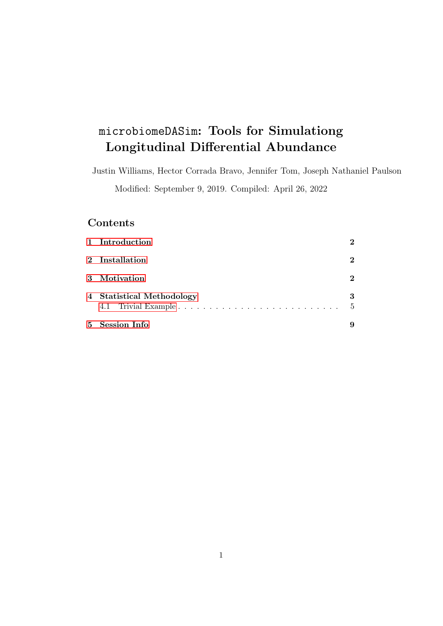# microbiomeDASim: Tools for Simulationg Longitudinal Differential Abundance

Justin Williams, Hector Corrada Bravo, Jennifer Tom, Joseph Nathaniel Paulson Modified: September 9, 2019. Compiled: April 26, 2022

## Contents

| $5^{\circ}$ | <b>Session Info</b>       |                    |
|-------------|---------------------------|--------------------|
|             | 4 Statistical Methodology | 3<br>$\frac{5}{2}$ |
|             | 3 Motivation              | $\mathbf 2$        |
|             | 2 Installation            | $\mathbf 2$        |
|             | 1 Introduction            | $\mathbf 2$        |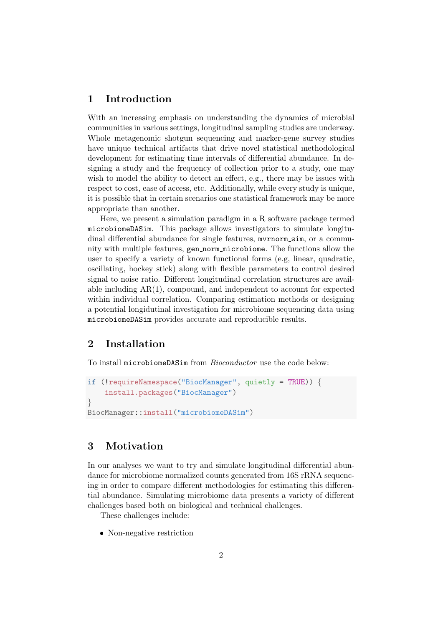#### <span id="page-1-0"></span>1 Introduction

With an increasing emphasis on understanding the dynamics of microbial communities in various settings, longitudinal sampling studies are underway. Whole metagenomic shotgun sequencing and marker-gene survey studies have unique technical artifacts that drive novel statistical methodological development for estimating time intervals of differential abundance. In designing a study and the frequency of collection prior to a study, one may wish to model the ability to detect an effect, e.g., there may be issues with respect to cost, ease of access, etc. Additionally, while every study is unique, it is possible that in certain scenarios one statistical framework may be more appropriate than another.

Here, we present a simulation paradigm in a R software package termed microbiomeDASim. This package allows investigators to simulate longitudinal differential abundance for single features, mvrnorm\_sim, or a community with multiple features, gen norm microbiome. The functions allow the user to specify a variety of known functional forms (e.g, linear, quadratic, oscillating, hockey stick) along with flexible parameters to control desired signal to noise ratio. Different longitudinal correlation structures are available including  $AR(1)$ , compound, and independent to account for expected within individual correlation. Comparing estimation methods or designing a potential longidutinal investigation for microbiome sequencing data using microbiomeDASim provides accurate and reproducible results.

### <span id="page-1-1"></span>2 Installation

To install microbiomeDASim from Bioconductor use the code below:

```
if (!requireNamespace("BiocManager", quietly = TRUE)) {
    install.packages("BiocManager")
}
BiocManager::install("microbiomeDASim")
```
#### <span id="page-1-2"></span>3 Motivation

In our analyses we want to try and simulate longitudinal differential abundance for microbiome normalized counts generated from 16S rRNA sequencing in order to compare different methodologies for estimating this differential abundance. Simulating microbiome data presents a variety of different challenges based both on biological and technical challenges.

These challenges include:

Non-negative restriction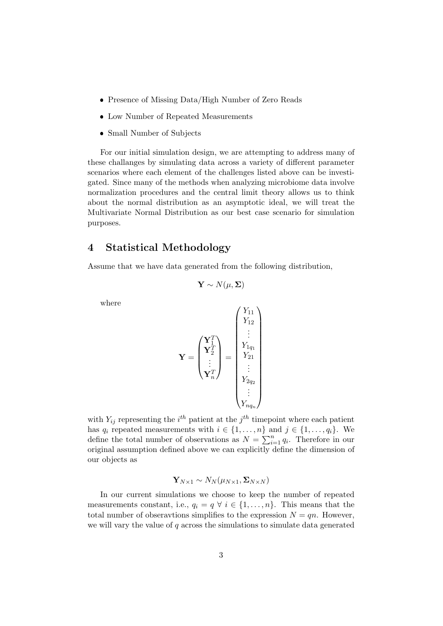- Presence of Missing Data/High Number of Zero Reads
- Low Number of Repeated Measurements
- Small Number of Subjects

For our initial simulation design, we are attempting to address many of these challanges by simulating data across a variety of different parameter scenarios where each element of the challenges listed above can be investigated. Since many of the methods when analyzing microbiome data involve normalization procedures and the central limit theory allows us to think about the normal distribution as an asymptotic ideal, we will treat the Multivariate Normal Distribution as our best case scenario for simulation purposes.

#### <span id="page-2-0"></span>4 Statistical Methodology

Assume that we have data generated from the following distribution,

$$
\mathbf{Y} \sim N(\mu, \boldsymbol{\Sigma})
$$

where

$$
\mathbf{Y} = \begin{pmatrix} \mathbf{Y}_{11}^T \\ \mathbf{Y}_{2}^T \\ \vdots \\ \mathbf{Y}_{n}^T \end{pmatrix} = \begin{pmatrix} Y_{11} \\ Y_{12} \\ \vdots \\ Y_{21} \\ \vdots \\ Y_{2q_2} \\ \vdots \\ Y_{nq_n} \end{pmatrix}
$$

with  $Y_{ij}$  representing the  $i<sup>th</sup>$  patient at the  $j<sup>th</sup>$  timepoint where each patient has  $q_i$  repeated measurements with  $i \in \{1, \ldots, n\}$  and  $j \in \{1, \ldots, q_i\}$ . We define the total number of observations as  $N = \sum_{i=1}^{n} q_i$ . Therefore in our original assumption defined above we can explicitly define the dimension of our objects as

$$
\mathbf{Y}_{N\times 1}\sim N_N(\mu_{N\times 1},\boldsymbol{\Sigma}_{N\times N})
$$

In our current simulations we choose to keep the number of repeated measurements constant, i.e.,  $q_i = q \forall i \in \{1, ..., n\}$ . This means that the total number of obseravtions simplifies to the expression  $N = qn$ . However, we will vary the value of  $q$  across the simulations to simulate data generated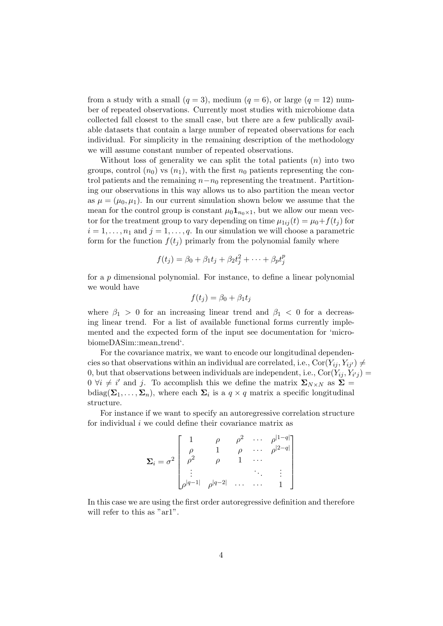from a study with a small  $(q = 3)$ , medium  $(q = 6)$ , or large  $(q = 12)$  number of repeated observations. Currently most studies with microbiome data collected fall closest to the small case, but there are a few publically available datasets that contain a large number of repeated observations for each individual. For simplicity in the remaining description of the methodology we will assume constant number of repeated observations.

Without loss of generality we can split the total patients  $(n)$  into two groups, control  $(n_0)$  vs  $(n_1)$ , with the first  $n_0$  patients representing the control patients and the remaining  $n-n_0$  representing the treatment. Partitioning our observations in this way allows us to also partition the mean vector as  $\mu = (\mu_0, \mu_1)$ . In our current simulation shown below we assume that the mean for the control group is constant  $\mu_0 \mathbf{1}_{n_0 \times 1}$ , but we allow our mean vector for the treatment group to vary depending on time  $\mu_{1ij}(t) = \mu_0 + f(t_i)$  for  $i = 1, \ldots, n_1$  and  $j = 1, \ldots, q$ . In our simulation we will choose a parametric form for the function  $f(t_i)$  primarly from the polynomial family where

$$
f(t_j) = \beta_0 + \beta_1 t_j + \beta_2 t_j^2 + \dots + \beta_p t_j^p
$$

for a p dimensional polynomial. For instance, to define a linear polynomial we would have

$$
f(t_j) = \beta_0 + \beta_1 t_j
$$

where  $\beta_1 > 0$  for an increasing linear trend and  $\beta_1 < 0$  for a decreasing linear trend. For a list of available functional forms currently implemented and the expected form of the input see documentation for 'microbiomeDASim::mean\_trend'.

For the covariance matrix, we want to encode our longitudinal dependencies so that observations within an individual are correlated, i.e.,  $Cor(Y_{ij}, Y_{ij'}) \neq$ 0, but that observations between individuals are independent, i.e.,  $Cor(Y_{ij}, Y_{i'j}) =$  $0 \forall i \neq i'$  and j. To accomplish this we define the matrix  $\Sigma_{N \times N}$  as  $\Sigma =$ bdiag( $\Sigma_1, \ldots, \Sigma_n$ ), where each  $\Sigma_i$  is a  $q \times q$  matrix a specific longitudinal structure.

For instance if we want to specify an autoregressive correlation structure for individual  $i$  we could define their covariance matrix as

$$
\Sigma_{i} = \sigma^{2} \begin{bmatrix} 1 & \rho & \rho^{2} & \cdots & \rho^{|1-q|} \\ \rho & 1 & \rho & \cdots & \rho^{|2-q|} \\ \rho^{2} & \rho & 1 & \cdots & \\ \vdots & & & \ddots & \vdots \\ \rho^{|q-1|} & \rho^{|q-2|} & \cdots & \cdots & 1 \end{bmatrix}
$$

In this case we are using the first order autoregressive definition and therefore will refer to this as "ar1".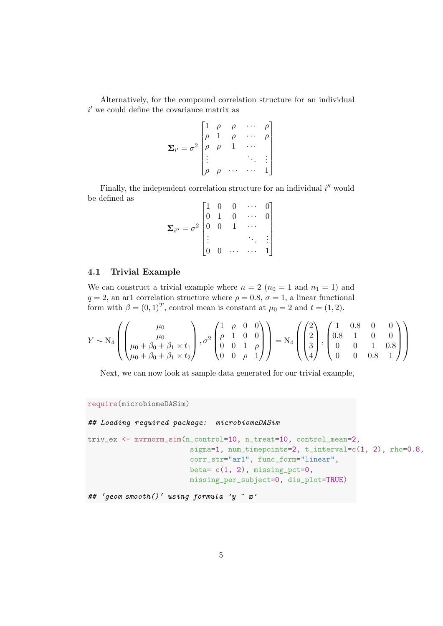Alternatively, for the compound correlation structure for an individual  $i'$  we could define the covariance matrix as

$$
\mathbf{\Sigma}_{i'} = \sigma^2 \begin{bmatrix} 1 & \rho & \rho & \cdots & \rho \\ \rho & 1 & \rho & \cdots & \rho \\ \rho & \rho & 1 & \cdots & \\ \vdots & & & \ddots & \vdots \\ \rho & \rho & \cdots & \cdots & 1 \end{bmatrix}
$$

Finally, the independent correlation structure for an individual  $i''$  would be defined as  $\overline{a}$ 

$$
\mathbf{\Sigma}_{i''} = \sigma^2 \begin{bmatrix} 1 & 0 & 0 & \cdots & 0 \\ 0 & 1 & 0 & \cdots & 0 \\ 0 & 0 & 1 & \cdots & \\ \vdots & & & \ddots & \vdots \\ 0 & 0 & \cdots & \cdots & 1 \end{bmatrix}
$$

#### <span id="page-4-0"></span>4.1 Trivial Example

We can construct a trivial example where  $n = 2$  ( $n_0 = 1$  and  $n_1 = 1$ ) and  $q = 2$ , an ar1 correlation structure where  $\rho = 0.8$ ,  $\sigma = 1$ , a linear functional form with  $\beta = (0, 1)^T$ , control mean is constant at  $\mu_0 = 2$  and  $t = (1, 2)$ .

$$
Y \sim N_4 \left( \begin{pmatrix} \mu_0 \\ \mu_0 \\ \mu_0 + \beta_0 + \beta_1 \times t_1 \\ \mu_0 + \beta_0 + \beta_1 \times t_2 \end{pmatrix}, \sigma^2 \begin{pmatrix} 1 & \rho & 0 & 0 \\ \rho & 1 & 0 & 0 \\ 0 & 0 & 1 & \rho \\ 0 & 0 & \rho & 1 \end{pmatrix} \right) = N_4 \left( \begin{pmatrix} 2 \\ 2 \\ 3 \\ 4 \end{pmatrix}, \begin{pmatrix} 1 & 0.8 & 0 & 0 \\ 0.8 & 1 & 0 & 0 \\ 0 & 0 & 1 & 0.8 \\ 0 & 0 & 0.8 & 1 \end{pmatrix} \right)
$$

Next, we can now look at sample data generated for our trivial example,

require(microbiomeDASim)

#### ## Loading required package: microbiomeDASim

```
triv_ex <- mvrnorm_sim(n_control=10, n_treat=10, control_mean=2,
                        sigma=1, num_timepoints=2, t_interval=c(1, 2), rho=0.8,
                        corr_str="ar1", func_form="linear",
                        beta=c(1, 2), missing_pct=0,
                        missing_per_subject=0, dis_plot=TRUE)
```

```
# 'geom_smooth()' using formula 'y " x'
```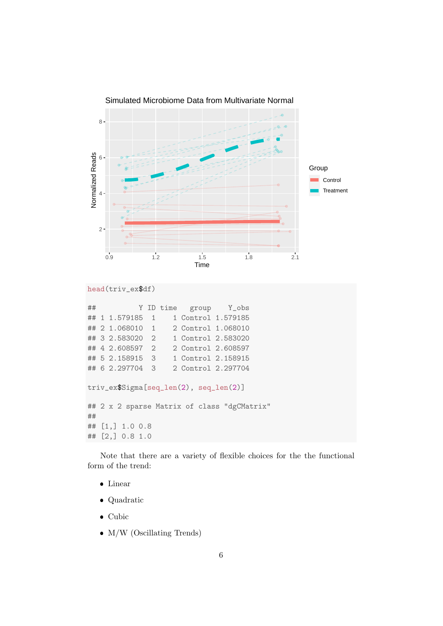

```
head(triv_ex$df)
```

|                                                   |  | $\#$ $+$                                          |  | Y ID time | group Y_obs         |  |  |  |
|---------------------------------------------------|--|---------------------------------------------------|--|-----------|---------------------|--|--|--|
|                                                   |  | ## 1 1.579185 1                                   |  |           | 1 Control 1.579185  |  |  |  |
|                                                   |  | ## 2 1.068010 1                                   |  |           | 2 Control 1.068010  |  |  |  |
|                                                   |  | ## 3 2.583020 2                                   |  |           | 1 Control 2.583020  |  |  |  |
|                                                   |  | ## 4 2.608597 2                                   |  |           | 2 Control 2.608597  |  |  |  |
|                                                   |  | ## 5 2.158915 3                                   |  |           | 1 Control 2.158915  |  |  |  |
|                                                   |  | ## 6 2.297704 3                                   |  |           | 2. Control 2.297704 |  |  |  |
| triv_ex\$Sigma[seq_len(2), seq_len(2)]            |  |                                                   |  |           |                     |  |  |  |
| ## 2 x 2 sparse Matrix of class "dgCMatrix"<br>## |  |                                                   |  |           |                     |  |  |  |
|                                                   |  | ## $\begin{bmatrix} 1 \\ 1 \end{bmatrix}$ 1.0 0.8 |  |           |                     |  |  |  |
|                                                   |  | ## $[2,]$ 0.8 1.0                                 |  |           |                     |  |  |  |

Note that there are a variety of flexible choices for the the functional form of the trend:

- Linear
- Quadratic
- $\bullet$  Cubic
- M/W (Oscillating Trends)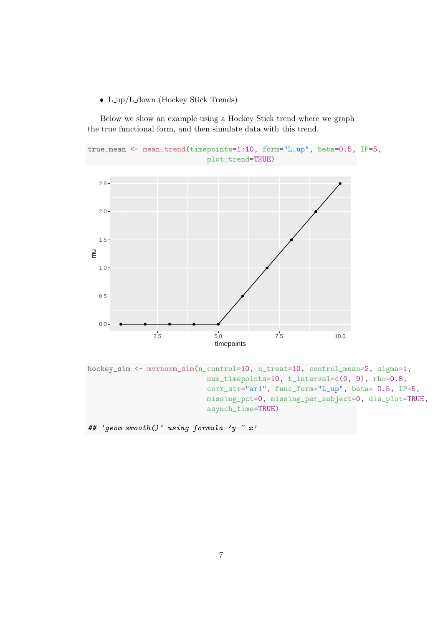• L\_up/L\_down (Hockey Stick Trends)

Below we show an example using a Hockey Stick trend where we graph the true functional form, and then simulate data with this trend.

```
true_mean <- mean_trend(timepoints=1:10, form="L_up", beta=0.5, IP=5,
                            plot_trend=TRUE)
```


hockey\_sim <- mvrnorm\_sim(n\_control=10, n\_treat=10, control\_mean=2, sigma=1, num\_timepoints=10, t\_interval=c(0, 9), rho=0.8, corr\_str="ar1", func\_form="L\_up", beta= 0.5, IP=5, missing\_pct=0, missing\_per\_subject=0, dis\_plot=TRUE, asynch\_time=TRUE)

## 'geom\_smooth()' using formula 'y  $x$  "x'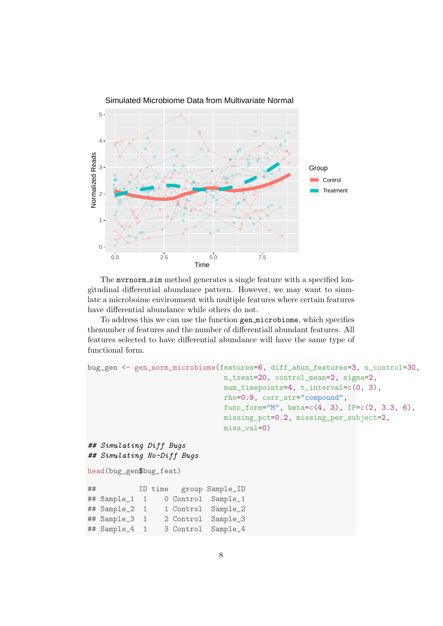

The murnorm sim method generates a single feature with a specified longitudinal differential abundance pattern. However, we may want to simulate a microboime environment with multiple features where certain features have differential abundance while others do not.

To address this we can use the function gen microbiome, which specifies thenumber of features and the number of differentiall abundant features. All features selected to have differential abundance will have the same type of functional form.

```
bug_gen <- gen_norm_microbiome(features=6, diff_abun_features=3, n_control=30,
                              n_treat=20, control_mean=2, sigma=2,
                              num_timepoints=4, t_interval=c(0, 3),
                              rho=0.9, corr_str="compound",
                              func_form="M", beta=c(4, 3), IP=c(2, 3.3, 6),
                              missing_pct=0.2, missing_per_subject=2,
                              miss_val=0)
## Simulating Diff Bugs
## Simulating No-Diff Bugs
head(bug_gen$bug_feat)
## ID time group Sample_ID
## Sample_1 1 0 Control Sample_1
## Sample_2 1 1 Control Sample_2
## Sample_3 1 2 Control Sample_3
## Sample_4 1 3 Control Sample_4
```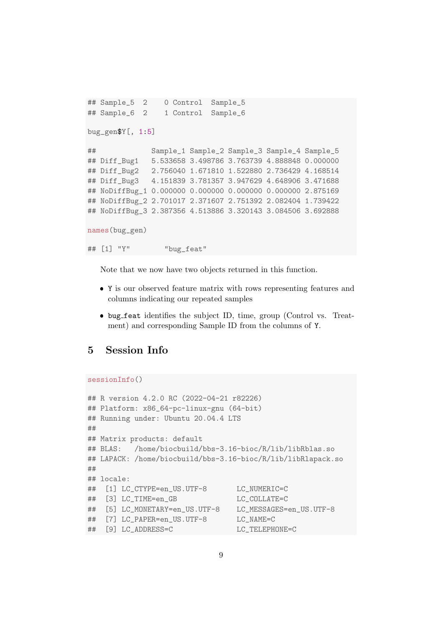```
## Sample_5 2 0 Control Sample_5
## Sample_6 2 1 Control Sample_6
bug_gen$Y[, 1:5]
## Sample_1 Sample_2 Sample_3 Sample_4 Sample_5
## Diff_Bug1 5.533658 3.498786 3.763739 4.888848 0.000000
## Diff_Bug2 2.756040 1.671810 1.522880 2.736429 4.168514
## Diff_Bug3 4.151839 3.781357 3.947629 4.648906 3.471688
## NoDiffBug_1 0.000000 0.000000 0.000000 0.000000 2.875169
## NoDiffBug_2 2.701017 2.371607 2.751392 2.082404 1.739422
## NoDiffBug_3 2.387356 4.513886 3.320143 3.084506 3.692888
names(bug_gen)
## [1] "Y" "bug_feat"
```
Note that we now have two objects returned in this function.

- Y is our observed feature matrix with rows representing features and columns indicating our repeated samples
- bug feat identifies the subject ID, time, group (Control vs. Treatment) and corresponding Sample ID from the columns of Y.

#### <span id="page-8-0"></span>5 Session Info

```
sessionInfo()
```

```
## R version 4.2.0 RC (2022-04-21 r82226)
## Platform: x86_64-pc-linux-gnu (64-bit)
## Running under: Ubuntu 20.04.4 LTS
##
## Matrix products: default
## BLAS: /home/biocbuild/bbs-3.16-bioc/R/lib/libRblas.so
## LAPACK: /home/biocbuild/bbs-3.16-bioc/R/lib/libRlapack.so
##
## locale:
## [1] LC_CTYPE=en_US.UTF-8 LC_NUMERIC=C
## [3] LC_TIME=en_GB LC_COLLATE=C
## [5] LC_MONETARY=en_US.UTF-8 LC_MESSAGES=en_US.UTF-8
## [7] LC_PAPER=en_US.UTF-8 LC_NAME=C
## [9] LC_ADDRESS=C LC_TELEPHONE=C
```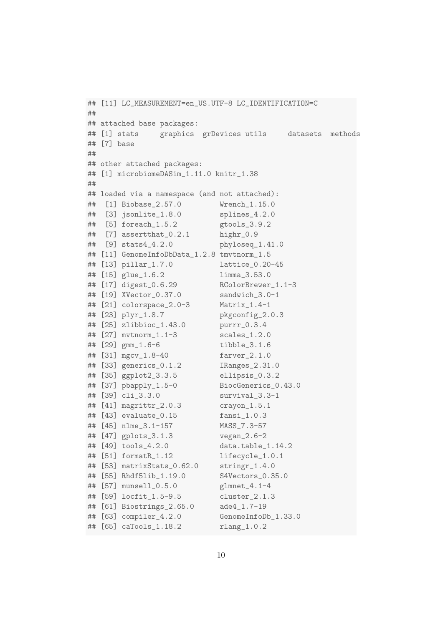```
## [11] LC_MEASUREMENT=en_US.UTF-8 LC_IDENTIFICATION=C
##
## attached base packages:
## [1] stats graphics grDevices utils datasets methods
## [7] base
##
## other attached packages:
## [1] microbiomeDASim_1.11.0 knitr_1.38
##
## loaded via a namespace (and not attached):
## [1] Biobase_2.57.0 Wrench_1.15.0
## [3] jsonlite_1.8.0 splines_4.2.0
## [5] foreach_1.5.2 gtools_3.9.2
## [7] assertthat_0.2.1 highr_0.9
## [9] stats4_4.2.0 phyloseq_1.41.0
## [11] GenomeInfoDbData_1.2.8 tmvtnorm_1.5
## [13] pillar_1.7.0 lattice_0.20-45
## [15] glue_1.6.2 limma_3.53.0
## [17] digest_0.6.29 RColorBrewer_1.1-3
## [19] XVector_0.37.0 sandwich_3.0-1
## [21] colorspace_2.0-3 Matrix_1.4-1
## [23] plyr_1.8.7 pkgconfig_2.0.3
## [25] zlibbioc_1.43.0 purrr_0.3.4
## [27] mvtnorm_1.1-3 scales_1.2.0
## [29] gmm_1.6-6 tibble_3.1.6
## [31] mgcv_1.8-40 farver_2.1.0
## [33] generics_0.1.2 IRanges_2.31.0
## [35] ggplot2_3.3.5 ellipsis_0.3.2
## [37] pbapply_1.5-0 BiocGenerics_0.43.0
## [39] cli_3.3.0 survival_3.3-1
## [41] magrittr_2.0.3 crayon_1.5.1
## [43] evaluate_0.15 fansi_1.0.3
## [45] nlme_3.1-157 MASS_7.3-57
## [47] gplots_3.1.3 vegan_2.6-2
## [49] tools_4.2.0 data.table_1.14.2
## [51] formatR_1.12 lifecycle_1.0.1
## [53] matrixStats_0.62.0 stringr_1.4.0
## [55] Rhdf5lib_1.19.0 S4Vectors_0.35.0
## [57] munsell_0.5.0 glmnet_4.1-4
## [59] locfit_1.5-9.5 cluster_2.1.3
## [61] Biostrings_2.65.0 ade4_1.7-19
## [63] compiler_4.2.0 GenomeInfoDb_1.33.0
## [65] caTools_1.18.2 rlang_1.0.2
```